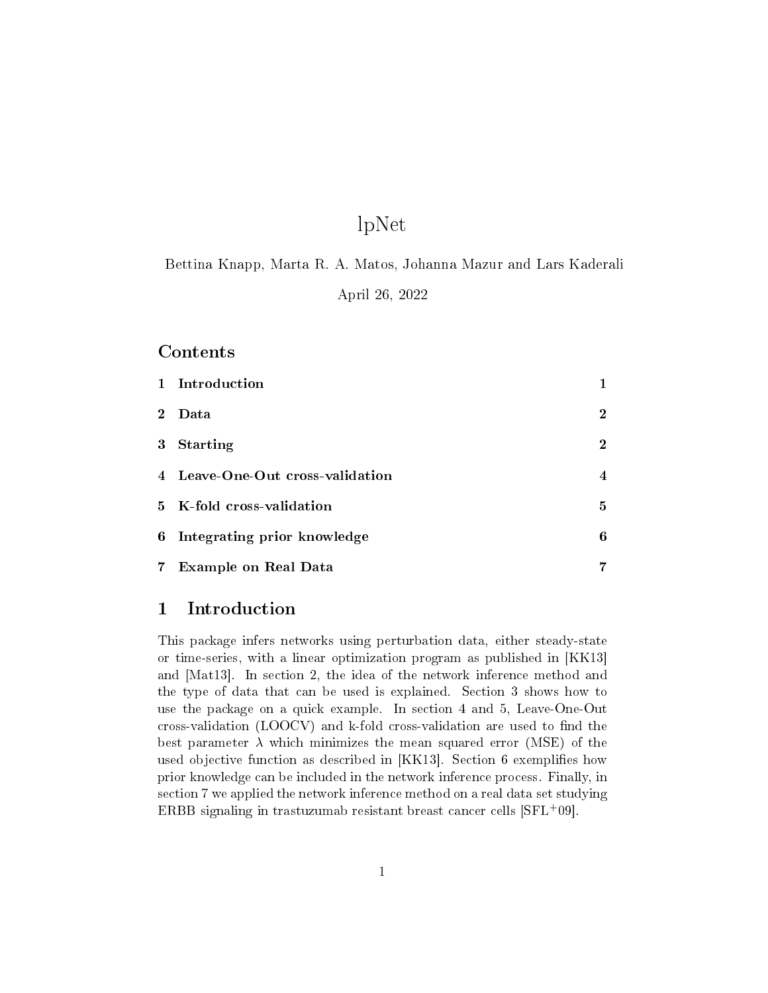# lpNet

Bettina Knapp, Marta R. A. Matos, Johanna Mazur and Lars Kaderali

April 26, 2022

#### **Contents**

|                | 1 Introduction                   | 1              |
|----------------|----------------------------------|----------------|
| $2^{\circ}$    | Data                             | $\bf{2}$       |
| $3 -$          | <b>Starting</b>                  | $\overline{2}$ |
|                | 4 Leave-One-Out cross-validation | 4              |
|                | 5 K-fold cross-validation        | 5              |
| 6              | Integrating prior knowledge      | 6              |
| 7 <sup>1</sup> | Example on Real Data             | 7              |

# 1 Introduction

This package infers networks using perturbation data, either steady-state or time-series, with a linear optimization program as published in [KK13] and [Mat13]. In section 2, the idea of the network inference method and the type of data that can be used is explained. Section 3 shows how to use the package on a quick example. In section 4 and 5, Leave-One-Out cross-validation  $(LOOCV)$  and k-fold cross-validation are used to find the best parameter  $\lambda$  which minimizes the mean squared error (MSE) of the used objective function as described in [KK13]. Section 6 exemplifies how prior knowledge can be included in the network inference process. Finally, in section 7 we applied the network inference method on a real data set studying ERBB signaling in trastuzumab resistant breast cancer cells [SFL+09].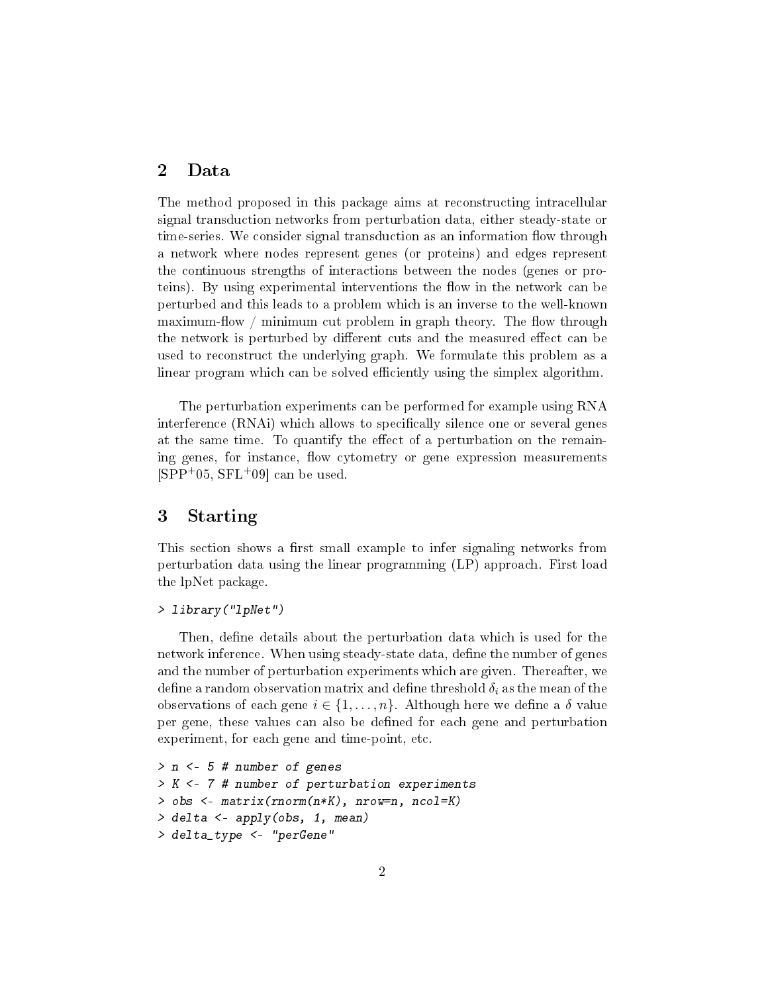# 2 Data

The method proposed in this package aims at reconstructing intracellular signal transduction networks from perturbation data, either steady-state or time-series. We consider signal transduction as an information flow through a network where nodes represent genes (or proteins) and edges represent the continuous strengths of interactions between the nodes (genes or proteins). By using experimental interventions the flow in the network can be perturbed and this leads to a problem which is an inverse to the well-known maximum-flow / minimum cut problem in graph theory. The flow through the network is perturbed by different cuts and the measured effect can be used to reconstruct the underlying graph. We formulate this problem as a linear program which can be solved efficiently using the simplex algorithm.

The perturbation experiments can be performed for example using RNA interference (RNAi) which allows to specifically silence one or several genes at the same time. To quantify the effect of a perturbation on the remaining genes, for instance, flow cytometry or gene expression measurements  $[SPP<sup>+</sup>05, SFL<sup>+</sup>09]$  can be used.

# 3 Starting

This section shows a first small example to infer signaling networks from perturbation data using the linear programming (LP) approach. First load the lpNet package.

#### > library("lpNet")

Then, define details about the perturbation data which is used for the network inference. When using steady-state data, define the number of genes and the number of perturbation experiments which are given. Thereafter, we define a random observation matrix and define threshold  $\delta_i$  as the mean of the observations of each gene  $i \in \{1, \ldots, n\}$ . Although here we define a  $\delta$  value per gene, these values can also be defined for each gene and perturbation experiment, for each gene and time-point, etc.

```
> n <- 5 # number of genes
> K <- 7 # number of perturbation experiments
> obs <- matrix(rnorm(n*K), nrow=n, ncol=K)
> delta <- apply(obs, 1, mean)
> delta_type <- "perGene"
```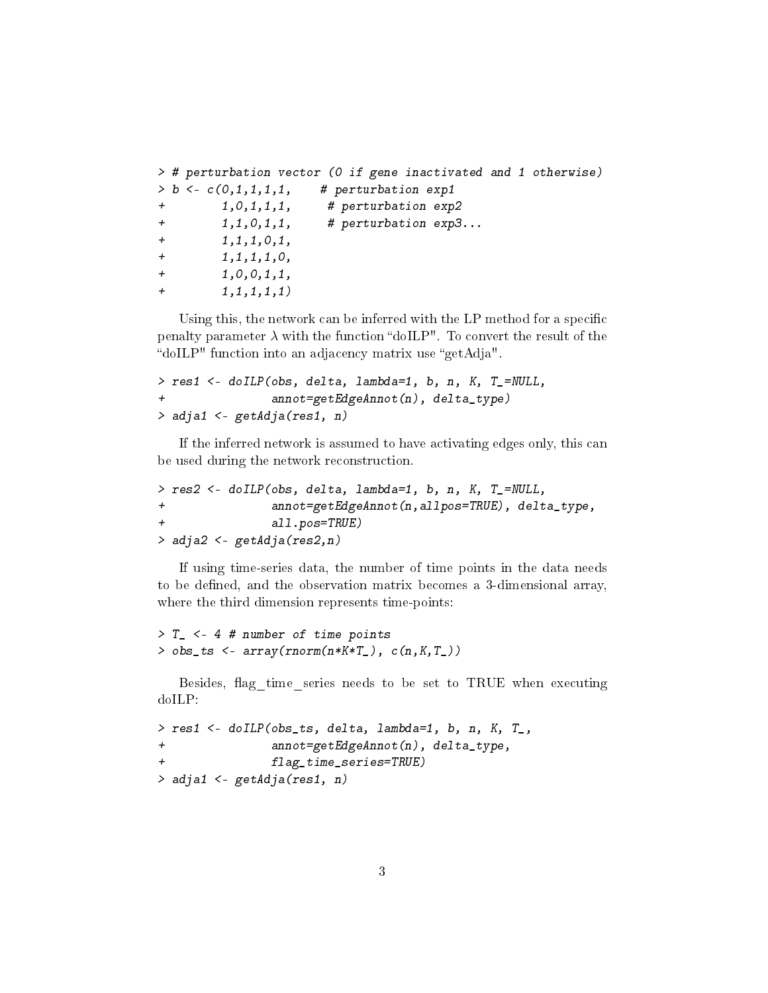```
> # perturbation vector (0 if gene inactivated and 1 otherwise)
> b < -c(0,1,1,1,1, # perturbation exp1
+ 1,0,1,1,1, # perturbation exp2
+ 1,1,0,1,1, # perturbation exp3...
+ 1, 1, 1, 0, 1,
+ 1, 1, 1, 1, 0,
+ 1,0,0,1,1,
+ 1, 1, 1, 1, 1)
```
Using this, the network can be inferred with the LP method for a specific penalty parameter  $\lambda$  with the function "doILP". To convert the result of the "doILP" function into an adjacency matrix use "getAdja".

```
> res1 <- doILP(obs, delta, lambda=1, b, n, K, T_=NULL,
+ annot=getEdgeAnnot(n), delta_type)
> adja1 <- getAdja(res1, n)
```
If the inferred network is assumed to have activating edges only, this can be used during the network reconstruction.

```
> res2 <- doILP(obs, delta, lambda=1, b, n, K, T_=NULL,
+ annot=getEdgeAnnot(n,allpos=TRUE), delta_type,
              all.pos=TRUE)
> adja2 <- getAdja(res2,n)
```
If using time-series data, the number of time points in the data needs to be defined, and the observation matrix becomes a 3-dimensional array, where the third dimension represents time-points:

```
> T_ <- 4 # number of time points
> obs_ts \leq array(rnorm(n*K*T_), c(n,K,T_))
```
Besides, flag time series needs to be set to TRUE when executing doILP:

```
> res1 <- doILP(obs_ts, delta, lambda=1, b, n, K, T_,
+ annot=getEdgeAnnot(n), delta_type,
              flag_time_series=TRUE)
> adja1 <- getAdja(res1, n)
```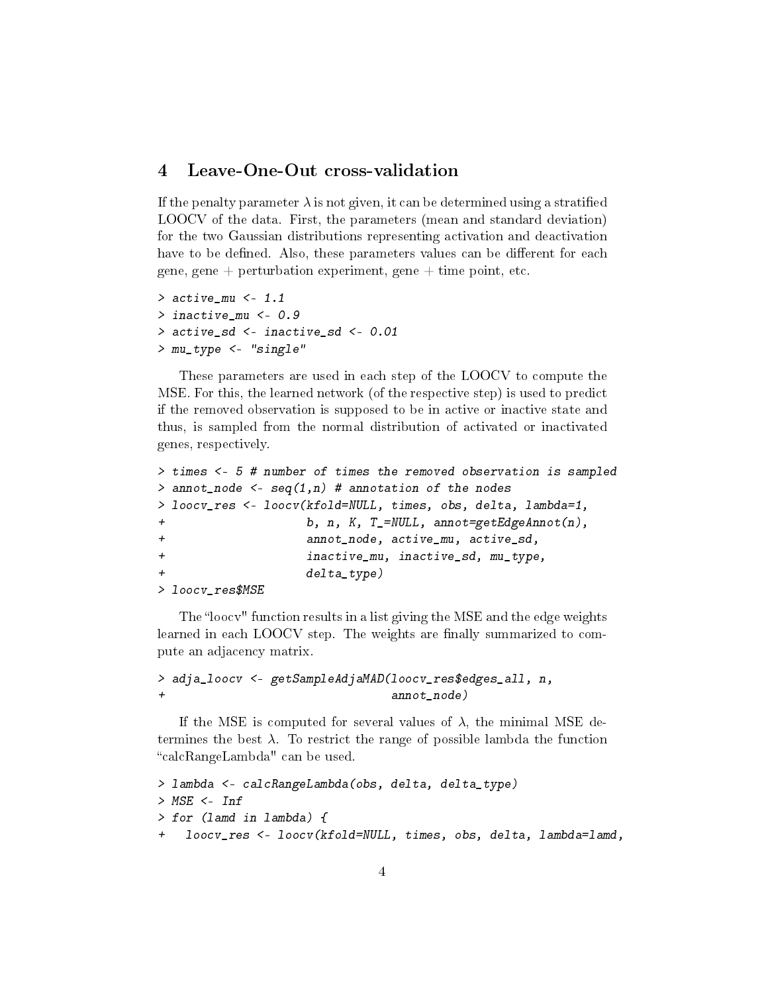#### 4 Leave-One-Out cross-validation

If the penalty parameter  $\lambda$  is not given, it can be determined using a stratified LOOCV of the data. First, the parameters (mean and standard deviation) for the two Gaussian distributions representing activation and deactivation have to be defined. Also, these parameters values can be different for each gene, gene + perturbation experiment, gene + time point, etc.

```
> active_mu <- 1.1
> inactive mu <- 0.9
> active_sd <- inactive_sd <- 0.01
> mu_type <- "single"
```
These parameters are used in each step of the LOOCV to compute the MSE. For this, the learned network (of the respective step) is used to predict if the removed observation is supposed to be in active or inactive state and thus, is sampled from the normal distribution of activated or inactivated genes, respectively.

```
> times <- 5 # number of times the removed observation is sampled
> annot_node \leq- seq(1,n) # annotation of the nodes
> loocv_res <- loocv(kfold=NULL, times, obs, delta, lambda=1,
+ b, n, K, T_=NULL, annot=getEdgeAnnot(n),
+ annot_node, active_mu, active_sd,
+ inactive_mu, inactive_sd, mu_type,
                  delta_type)
> loocv_res$MSE
```
The "loocv" function results in a list giving the MSE and the edge weights learned in each LOOCV step. The weights are finally summarized to compute an adjacency matrix.

> adja\_loocv <- getSampleAdjaMAD(loocv\_res\$edges\_all, n, + annot\_node)

If the MSE is computed for several values of  $\lambda$ , the minimal MSE determines the best  $\lambda$ . To restrict the range of possible lambda the function calcRangeLambda" can be used.

```
> lambda <- calcRangeLambda(obs, delta, delta_type)
> MSE <- Inf
> for (lamd in lambda) {
   loocv_res <- loocv(kfold=NULL, times, obs, delta, lambda=lamd,
```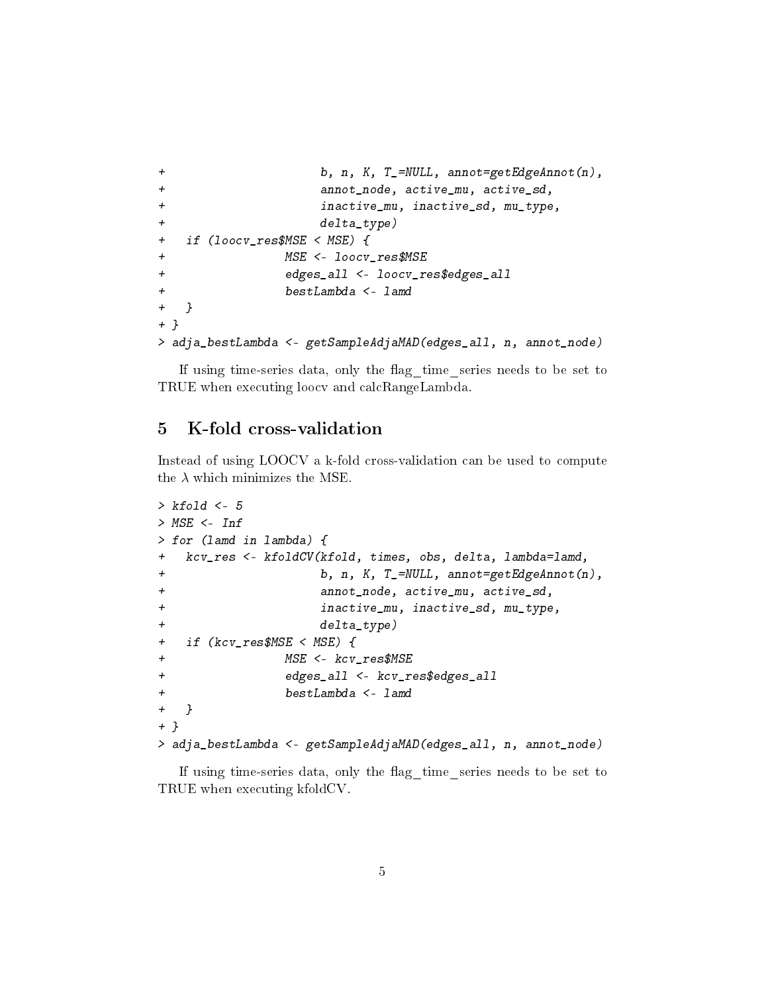```
+ b, n, K, T_=NULL, annot=getEdgeAnnot(n),
+ annot_node, active_mu, active_sd,
+ inactive_mu, inactive_sd, mu_type,
+ delta_type)
+ if (loocv_res$MSE < MSE) {
+ MSE <- loocv_res$MSE
+ edges_all <- loocv_res$edges_all
+ bestLambda <- lamd
+ }
+ }
> adja_bestLambda <- getSampleAdjaMAD(edges_all, n, annot_node)
```
If using time-series data, only the flag time series needs to be set to TRUE when executing loocv and calcRangeLambda.

# 5 K-fold cross-validation

Instead of using LOOCV a k-fold cross-validation can be used to compute the  $\lambda$  which minimizes the MSE.

```
> kfold < -5> MSE <- Inf
> for (lamd in lambda) {
+ kcv_res <- kfoldCV(kfold, times, obs, delta, lambda=lamd,
+ b, n, K, T_=NULL, annot=getEdgeAnnot(n),
+ annot_node, active_mu, active_sd,
+ inactive_mu, inactive_sd, mu_type,
+ delta_type)
+ if (kcv_res$MSE < MSE) {
+ MSE <- kcv_res$MSE
+ edges_all <- kcv_res$edges_all
+ bestLambda <- lamd
+ }
+ }
> adja_bestLambda <- getSampleAdjaMAD(edges_all, n, annot_node)
```
If using time-series data, only the flag time series needs to be set to TRUE when executing kfoldCV.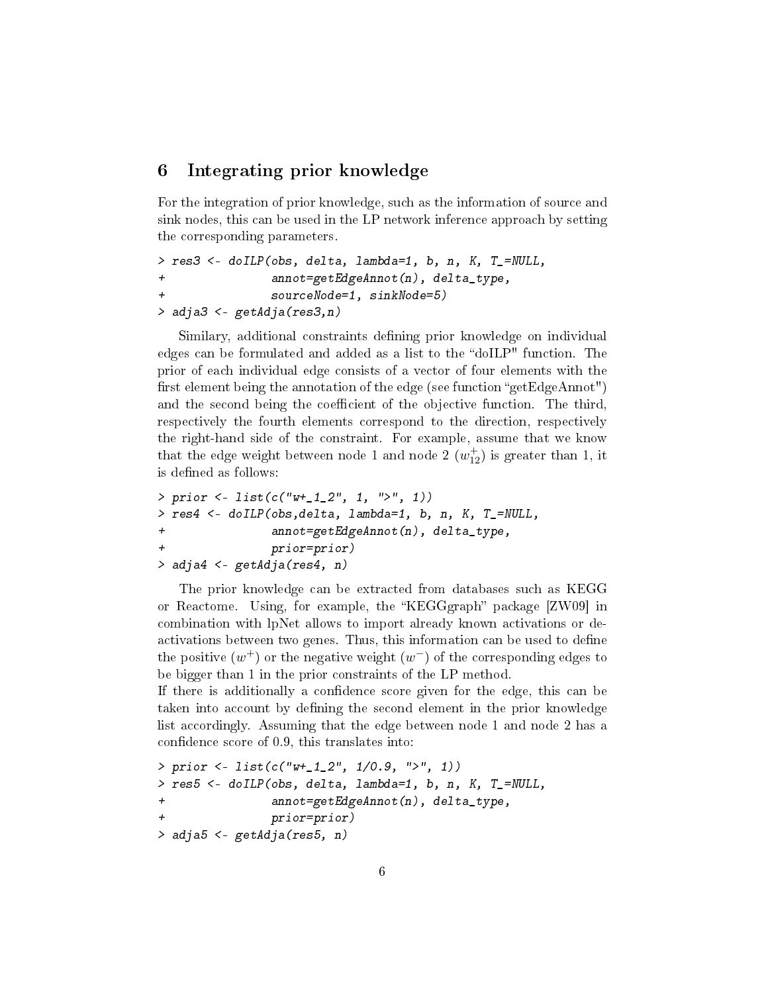# 6 Integrating prior knowledge

For the integration of prior knowledge, such as the information of source and sink nodes, this can be used in the LP network inference approach by setting the corresponding parameters.

```
> res3 <- doILP(obs, delta, lambda=1, b, n, K, T_=NULL,
+ annot=getEdgeAnnot(n), delta_type,
               sourceNode=1, sinkNode=5)
> adja3 <- getAdja(res3,n)
```
Similary, additional constraints defining prior knowledge on individual edges can be formulated and added as a list to the "doILP" function. The prior of each individual edge consists of a vector of four elements with the first element being the annotation of the edge (see function "getEdgeAnnot") and the second being the coefficient of the objective function. The third, respectively the fourth elements correspond to the direction, respectively the right-hand side of the constraint. For example, assume that we know that the edge weight between node 1 and node 2  $(w_{12}^+)$  is greater than 1, it is defined as follows:

```
> prior <- list(c("w+_1_2", 1, ">", 1))
> res4 <- doILP(obs,delta, lambda=1, b, n, K, T_=NULL,
+ annot=getEdgeAnnot(n), delta_type,
              prior=prior)
> adja4 <- getAdja(res4, n)
```
The prior knowledge can be extracted from databases such as KEGG or Reactome. Using, for example, the "KEGGgraph" package [ZW09] in combination with lpNet allows to import already known activations or deactivations between two genes. Thus, this information can be used to define the positive  $(w^{+})$  or the negative weight  $(w^{-})$  of the corresponding edges to be bigger than 1 in the prior constraints of the LP method.

If there is additionally a condence score given for the edge, this can be taken into account by dening the second element in the prior knowledge list accordingly. Assuming that the edge between node 1 and node 2 has a confidence score of 0.9, this translates into:

```
> prior <- list(c("w+_1_2", 1/0.9, ">", 1))
> res5 <- doILP(obs, delta, lambda=1, b, n, K, T_=NULL,
+ annot=getEdgeAnnot(n), delta_type,
              prior=prior)
> adja5 <- getAdja(res5, n)
```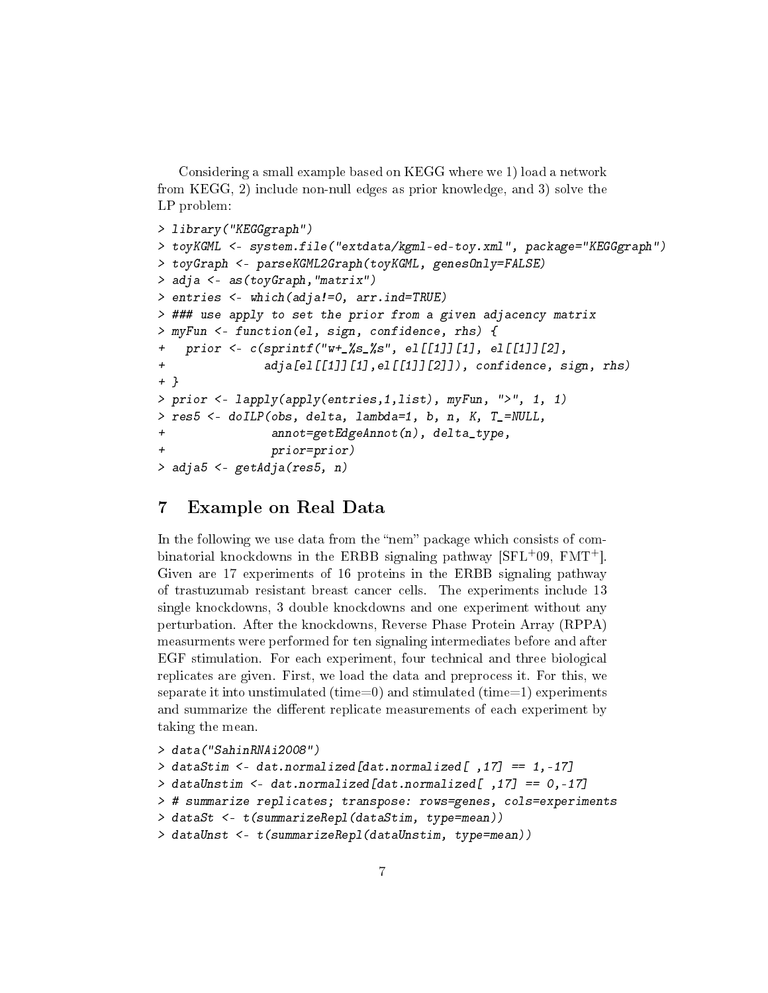Considering a small example based on KEGG where we 1) load a network from KEGG, 2) include non-null edges as prior knowledge, and 3) solve the LP problem:

```
> library("KEGGgraph")
> toyKGML <- system.file("extdata/kgml-ed-toy.xml", package="KEGGgraph")
> toyGraph <- parseKGML2Graph(toyKGML, genesOnly=FALSE)
> adja <- as(toyGraph,"matrix")
> entries <- which(adja!=0, arr.ind=TRUE)
> ### use apply to set the prior from a given adjacency matrix
> myFun <- function(el, sign, confidence, rhs) {
+ prior <- c(sprintf("w+_%s_%s", el[[1]][1], el[[1]][2],
+ adja[el[[1]][1],el[[1]][2]]), confidence, sign, rhs)
+ }
> prior <- lapply(apply(entries,1,list), myFun, ">", 1, 1)
> res5 <- doILP(obs, delta, lambda=1, b, n, K, T_=NULL,
+ annot=getEdgeAnnot(n), delta_type,
               prior=prior)
> adja5 <- getAdja(res5, n)
```
# 7 Example on Real Data

In the following we use data from the "nem" package which consists of combinatorial knockdowns in the ERBB signaling pathway [SFL+09, FMT+]. Given are 17 experiments of 16 proteins in the ERBB signaling pathway of trastuzumab resistant breast cancer cells. The experiments include 13 single knockdowns, 3 double knockdowns and one experiment without any perturbation. After the knockdowns, Reverse Phase Protein Array (RPPA) measurments were performed for ten signaling intermediates before and after EGF stimulation. For each experiment, four technical and three biological replicates are given. First, we load the data and preprocess it. For this, we separate it into unstimulated (time=0) and stimulated (time=1) experiments and summarize the different replicate measurements of each experiment by taking the mean.

```
> data("SahinRNAi2008")
> dataStim <- dat.normalized[dat.normalized[ ,17] == 1,-17]
> dataUnstim <- dat.normalized[dat.normalized[ ,17] == 0,-17]
> # summarize replicates; transpose: rows=genes, cols=experiments
> dataSt <- t(summarizeRepl(dataStim, type=mean))
> dataUnst <- t(summarizeRepl(dataUnstim, type=mean))
```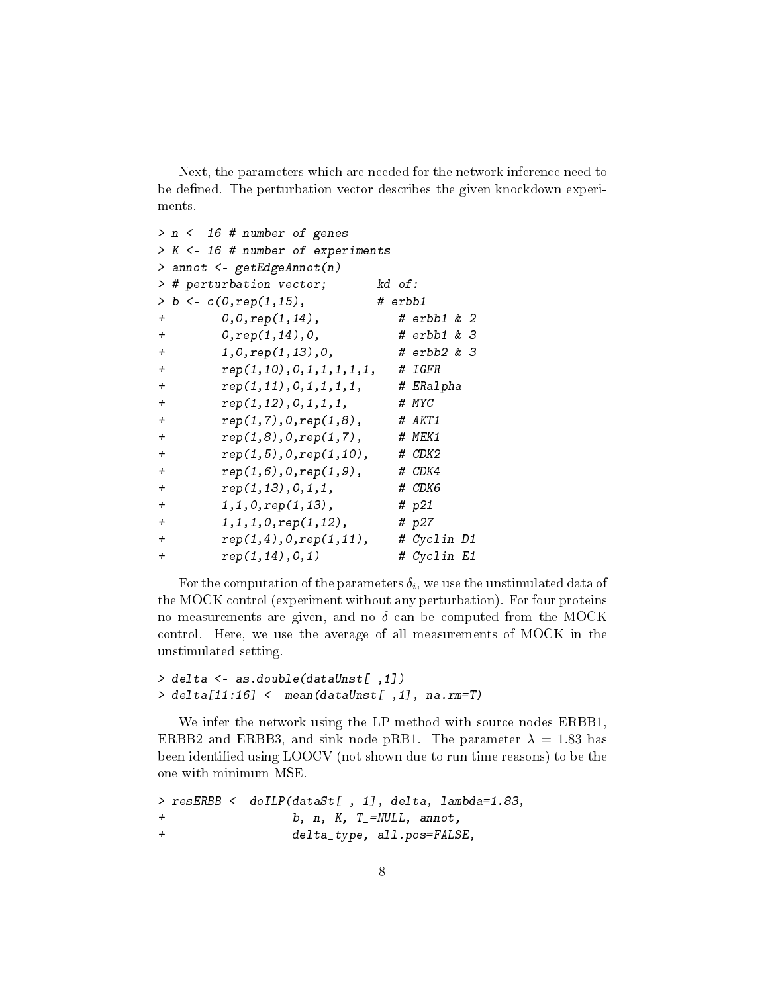Next, the parameters which are needed for the network inference need to be defined. The perturbation vector describes the given knockdown experiments.

```
> n <- 16 # number of genes
> K <- 16 # number of experiments
> annot <- getEdgeAnnot(n)
> # perturbation vector; kd of:
> b < -c(0, rep(1, 15), # erbb1
+ 0,0,rep(1,14), # erbb1 & 2
+ 0,rep(1,14),0, # erbb1 & 3
+ 1,0,rep(1,13),0, # erbb2 & 3
+ rep(1,10),0,1,1,1,1,1, # IGFR
+ rep(1,11),0,1,1,1,1, # ERalpha
+ rep(1,12),0,1,1,1, # MYC
+ rep(1,7),0,rep(1,8), # AKT1
+ rep(1,8),0,rep(1,7), # MEK1
+ rep(1,5),0,rep(1,10), # CDK2
+ rep(1,6),0,rep(1,9), # CDK4
+ rep(1,13),0,1,1, # CDK6
+ 1,1,0,rep(1,13), # p21
+ 1,1,1,0,rep(1,12), # p27
+ rep(1,4),0,rep(1,11), # Cyclin D1
+ rep(1,14),0,1) # Cyclin E1
```
For the computation of the parameters  $\delta_i,$  we use the unstimulated data of the MOCK control (experiment without any perturbation). For four proteins no measurements are given, and no  $\delta$  can be computed from the MOCK control. Here, we use the average of all measurements of MOCK in the unstimulated setting.

```
> delta <- as.double(dataUnst[ ,1])
> delta[11:16] <- mean(dataUnst[ ,1], na.rm=T)
```
We infer the network using the LP method with source nodes ERBB1, ERBB2 and ERBB3, and sink node pRB1. The parameter  $\lambda = 1.83$  has been identified using LOOCV (not shown due to run time reasons) to be the one with minimum MSE.

```
> resERBB <- doILP(dataSt[ ,-1], delta, lambda=1.83,
+ b, n, K, T_=NULL, annot,
+ delta_type, all.pos=FALSE,
```